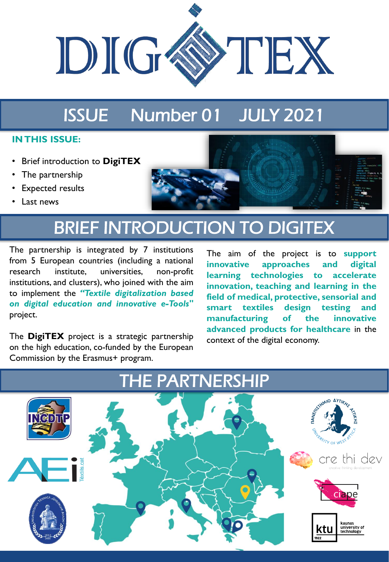

# ISSUE Number 01 JULY 2021

### **IN THIS ISSUE:**

- Brief introduction to **DigiTEX**
- The partnership
- **Expected results**
- Last news



## BRIEF INTRODUCTION TO DIGITEX

The partnership is integrated by 7 institutions from 5 European countries (including a national research institute, universities, non-profit institutions, and clusters), who joined with the aim to implement the *"Textile digitalization based on digital education and innovative e-Tools"* project.

The **DigiTEX** project is a strategic partnership on the high education, co-funded by the European Commission by the Erasmus+ program.

The aim of the project is to **support innovative approaches and digital learning technologies to accelerate innovation, teaching and learning in the field of medical, protective, sensorial and smart textiles design testing and manufacturing of the innovative advanced products for healthcare** in the context of the digital economy.